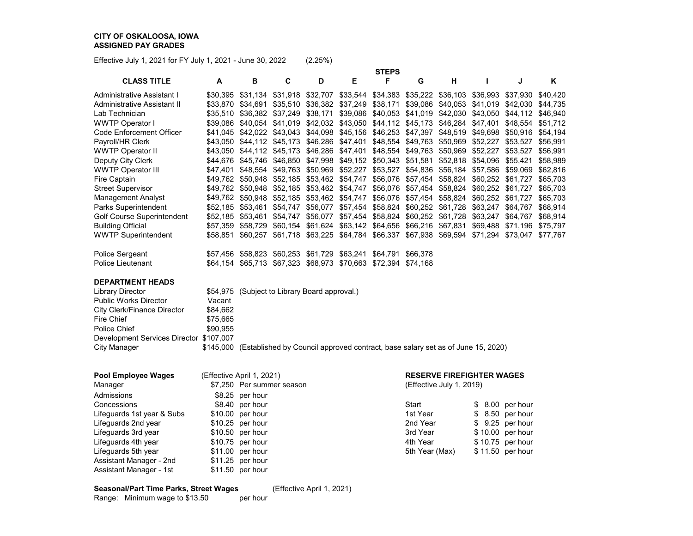Effective July 1, 2021 for FY July 1, 2021 - June 30, 2022 (2.25%)

|                              |          |                   |                                      |          |          | <b>STEPS</b>               |          |          |          |          |          |
|------------------------------|----------|-------------------|--------------------------------------|----------|----------|----------------------------|----------|----------|----------|----------|----------|
| <b>CLASS TITLE</b>           | A        | в                 | C                                    | D        | Е        | F                          | G        | н        |          | J        | ĸ        |
| Administrative Assistant I   |          | \$30.395 \$31.134 | \$31,918                             | \$32,707 |          | \$33,544 \$34,383 \$35,222 |          | \$36,103 | \$36,993 | \$37,930 | \$40,420 |
| Administrative Assistant II  |          | \$33.870 \$34.691 | \$35.510                             | \$36.382 | \$37,249 | \$38,171                   | \$39,086 | \$40,053 | \$41,019 | \$42,030 | \$44,735 |
| Lab Technician               | \$35.510 | \$36.382          | \$37.249                             | \$38,171 | \$39,086 | \$40,053                   | \$41.019 | \$42.030 | \$43,050 | \$44.112 | \$46.940 |
| <b>WWTP Operator I</b>       |          | \$39.086 \$40.054 | \$41.019                             | \$42,032 | \$43,050 | \$44,112                   | \$45,173 | \$46,284 | \$47,401 | \$48.554 | \$51,712 |
| Code Enforcement Officer     | \$41.045 | \$42.022          | \$43,043                             | \$44,098 | \$45,156 | \$46,253                   | \$47,397 | \$48,519 | \$49,698 | \$50.916 | \$54,194 |
| Payroll/HR Clerk             | \$43.050 | \$44.112          | \$45,173                             | \$46,286 | \$47,401 | \$48,554                   | \$49,763 | \$50,969 | \$52,227 | \$53,527 | \$56,991 |
| <b>WWTP Operator II</b>      | \$43.050 | \$44.112          | \$45.173                             | \$46,286 | \$47,401 | \$48,554                   | \$49.763 | \$50.969 | \$52,227 | \$53.527 | \$56,991 |
| Deputy City Clerk            | \$44.676 | \$45.746          | \$46,850                             | \$47,998 |          | \$49,152 \$50,343          | \$51,581 | \$52,818 | \$54,096 | \$55.421 | \$58,989 |
| <b>WWTP Operator III</b>     | \$47,401 | \$48.554          | \$49.763                             | \$50,969 | \$52,227 | \$53,527                   | \$54.836 | \$56.184 | \$57,586 | \$59,069 | \$62,816 |
| Fire Captain                 | \$49.762 | \$50.948          | \$52,185                             | \$53,462 | \$54,747 | \$56,076                   | \$57,454 | \$58,824 | \$60,252 | \$61,727 | \$65,703 |
| <b>Street Supervisor</b>     | \$49.762 | \$50.948          | \$52.185                             | \$53.462 | \$54,747 | \$56,076                   | \$57.454 | \$58.824 | \$60.252 | \$61,727 | \$65,703 |
| Management Analyst           |          | \$49.762 \$50.948 | \$52.185                             | \$53.462 | \$54.747 | \$56.076                   | \$57,454 | \$58.824 | \$60,252 | \$61.727 | \$65,703 |
| Parks Superintendent         | \$52,185 | \$53.461          | \$54.747                             | \$56,077 | \$57,454 | \$58,824                   | \$60,252 | \$61.728 | \$63,247 | \$64.767 | \$68,914 |
| Golf Course Superintendent   | \$52,185 | \$53,461          | \$54,747                             | \$56,077 | \$57,454 | \$58,824                   | \$60,252 | \$61,728 | \$63,247 | \$64,767 | \$68,914 |
| <b>Building Official</b>     | \$57.359 | \$58.729          | \$60,154                             | \$61,624 |          | \$63,142 \$64,656          | \$66,216 | \$67,831 | \$69,488 | \$71.196 | \$75,797 |
| <b>WWTP Superintendent</b>   | \$58.851 | \$60,257          | \$61,718                             | \$63,225 |          | \$64,784 \$66,337          | \$67,938 | \$69,594 | \$71,294 | \$73,047 | \$77,767 |
| Police Sergeant              |          | \$57,456 \$58,823 | \$60,253                             | \$61,729 | \$63,241 | \$64,791                   | \$66,378 |          |          |          |          |
| Police Lieutenant            | \$64.154 | \$65,713          | \$67,323                             | \$68,973 | \$70,663 | \$72,394                   | \$74.168 |          |          |          |          |
| <b>DEPARTMENT HEADS</b>      |          |                   |                                      |          |          |                            |          |          |          |          |          |
| <b>Library Director</b>      | \$54.975 |                   | (Subject to Library Board approval.) |          |          |                            |          |          |          |          |          |
| <b>Public Works Director</b> | Vacant   |                   |                                      |          |          |                            |          |          |          |          |          |
| City Clerk/Finance Director  | \$84,662 |                   |                                      |          |          |                            |          |          |          |          |          |
| $\mathsf{Circ}$ Chiof        | C75 GG5  |                   |                                      |          |          |                            |          |          |          |          |          |

Fire Chief  $$75,665$ Police Chief  $$90,955$ Development Services Director \$107,007 \$145,000 (Established by Council approved contract, base salary set as of June 15, 2020)

| Pool Employee Wages        | (Effective April 1, 2021) |                | <b>RESERVE FIREFIGHTER WAGES</b> |                  |  |  |  |  |
|----------------------------|---------------------------|----------------|----------------------------------|------------------|--|--|--|--|
| Manager                    | \$7,250 Per summer season |                | (Effective July 1, 2019)         |                  |  |  |  |  |
| Admissions                 | \$8.25 per hour           |                |                                  |                  |  |  |  |  |
| Concessions                | \$8.40 per hour           | Start          |                                  | \$ 8.00 per hour |  |  |  |  |
| Lifeguards 1st year & Subs | $$10.00$ per hour         | 1st Year       |                                  | \$ 8.50 per hour |  |  |  |  |
| Lifeguards 2nd year        | $$10.25$ per hour         | 2nd Year       |                                  | \$ 9.25 per hour |  |  |  |  |
| Lifeguards 3rd year        | $$10.50$ per hour         | 3rd Year       |                                  | \$10.00 per hour |  |  |  |  |
| Lifeguards 4th year        | $$10.75$ per hour         | 4th Year       |                                  | \$10.75 per hour |  |  |  |  |
| Lifeguards 5th year        | $$11.00$ per hour         | 5th Year (Max) |                                  | \$11.50 per hour |  |  |  |  |
| Assistant Manager - 2nd    | $$11.25$ per hour         |                |                                  |                  |  |  |  |  |
| Assistant Manager - 1st    | $$11.50$ per hour         |                |                                  |                  |  |  |  |  |

### **Seasonal/Part Time Parks, Street Wages** (Effective April 1, 2021)

Range: Minimum wage to \$13.50 per hour

#### **PERVE FIREFIGHTER WAGES**

| Start          |  | $$8.00$ per hour |
|----------------|--|------------------|
| 1st Year       |  | \$ 8.50 per hour |
| 2nd Year       |  | \$ 9.25 per hour |
| 3rd Year       |  | \$10.00 per hour |
| 4th Year       |  | \$10.75 per hour |
| 5th Year (Max) |  | \$11.50 per hour |
|                |  |                  |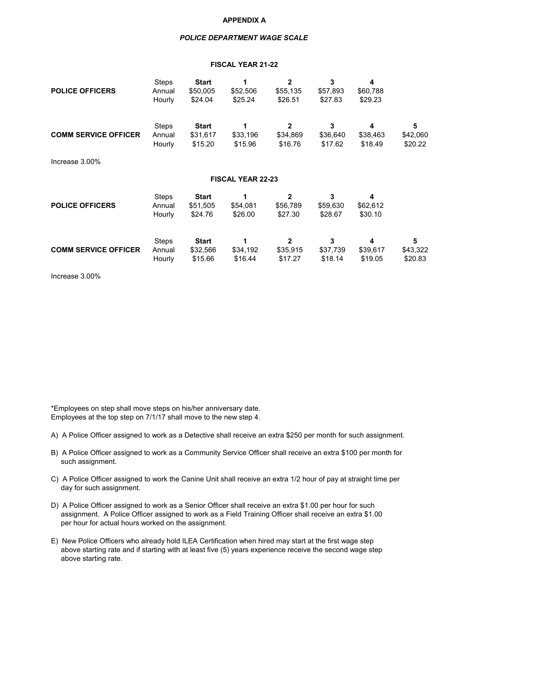#### **APPENDIX A**

#### *POLICE DEPARTMENT WAGE SCALE*

#### **FISCAL YEAR 21-22**

| <b>POLICE OFFICERS</b>      | <b>Steps</b><br>Annual<br>Hourly | <b>Start</b><br>\$50,005<br>\$24.04 | \$52,506<br>\$25.24      | $\mathbf{2}$<br>\$55,135<br>\$26.51   | 3<br>\$57,893<br>\$27.83 | 4<br>\$60,788<br>\$29.23 |                          |  |  |  |  |  |
|-----------------------------|----------------------------------|-------------------------------------|--------------------------|---------------------------------------|--------------------------|--------------------------|--------------------------|--|--|--|--|--|
| <b>COMM SERVICE OFFICER</b> | <b>Steps</b><br>Annual<br>Hourly | <b>Start</b><br>\$31,617<br>\$15.20 | \$33,196<br>\$15.96      | $\overline{2}$<br>\$34,869<br>\$16.76 | 3<br>\$36,640<br>\$17.62 | 4<br>\$38,463<br>\$18.49 | 5<br>\$42,060<br>\$20.22 |  |  |  |  |  |
| Increase 3.00%              |                                  |                                     |                          |                                       |                          |                          |                          |  |  |  |  |  |
| <b>FISCAL YEAR 22-23</b>    |                                  |                                     |                          |                                       |                          |                          |                          |  |  |  |  |  |
| <b>POLICE OFFICERS</b>      | <b>Steps</b><br>Annual<br>Hourly | <b>Start</b><br>\$51,505<br>\$24.76 | \$54,081<br>\$26.00      | 2<br>\$56,789<br>\$27.30              | 3<br>\$59,630<br>\$28.67 | 4<br>\$62,612<br>\$30.10 |                          |  |  |  |  |  |
| <b>COMM SERVICE OFFICER</b> | <b>Steps</b><br>Annual<br>Hourly | <b>Start</b><br>\$32,566<br>\$15.66 | 1<br>\$34,192<br>\$16.44 | $\mathbf{2}$<br>\$35,915<br>\$17.27   | 3<br>\$37,739<br>\$18.14 | 4<br>\$39,617<br>\$19.05 | 5<br>\$43,322<br>\$20.83 |  |  |  |  |  |

Increase 3.00%

\*Employees on step shall move steps on his/her anniversary date. Employees at the top step on 7/1/17 shall move to the new step 4.

- A) A Police Officer assigned to work as a Detective shall receive an extra \$250 per month for such assignment.
- B) A Police Officer assigned to work as a Community Service Officer shall receive an extra \$100 per month for such assignment.
- C) A Police Officer assigned to work the Canine Unit shall receive an extra 1/2 hour of pay at straight time per day for such assignment.
- D) A Police Officer assigned to work as a Senior Officer shall receive an extra \$1.00 per hour for such assignment. A Police Officer assigned to work as a Field Training Officer shall receive an extra \$1.00 per hour for actual hours worked on the assignment.
- E) New Police Officers who already hold ILEA Certification when hired may start at the first wage step above starting rate and if starting with at least five (5) years experience receive the second wage step above starting rate.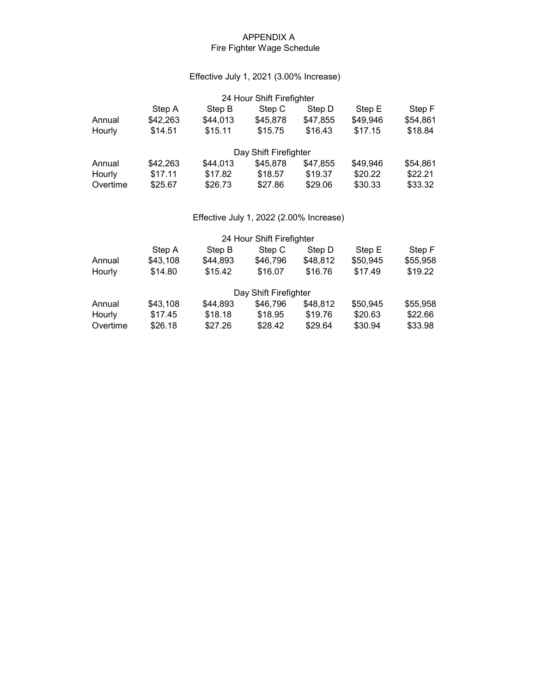## APPENDIX A Fire Fighter Wage Schedule

## Effective July 1, 2021 (3.00% Increase)

| 24 Hour Shift Firefighter |                    |          |                       |          |          |          |  |  |  |  |
|---------------------------|--------------------|----------|-----------------------|----------|----------|----------|--|--|--|--|
|                           | Step A             | Step B   | Step C                | Step D   | Step E   | Step F   |  |  |  |  |
| Annual                    | \$42,263           | \$44,013 | \$45,878              | \$47,855 | \$49,946 | \$54,861 |  |  |  |  |
| Hourly                    | \$15.11<br>\$14.51 |          | \$15.75               | \$16.43  | \$17.15  | \$18.84  |  |  |  |  |
|                           |                    |          | Day Shift Firefighter |          |          |          |  |  |  |  |
| Annual                    | \$42,263           | \$44,013 | \$45,878              | \$47,855 | \$49,946 | \$54,861 |  |  |  |  |
| Hourly                    | \$17.11            | \$17.82  | \$18.57               | \$19.37  | \$20.22  | \$22.21  |  |  |  |  |
| Overtime                  | \$25.67            | \$26.73  | \$27.86               | \$29.06  | \$30.33  | \$33.32  |  |  |  |  |

# Effective July 1, 2022 (2.00% Increase)

|                   |          |          | 24 Hour Shift Firefighter |          |          |          |
|-------------------|----------|----------|---------------------------|----------|----------|----------|
|                   | Step A   | Step B   | Step C                    | Step D   | Step E   | Step F   |
| Annual            | \$43,108 | \$44,893 | \$46,796                  | \$48,812 | \$50,945 | \$55,958 |
| \$14.80<br>Hourly |          | \$15.42  | \$16.07                   | \$16.76  | \$17.49  | \$19.22  |
|                   |          |          | Day Shift Firefighter     |          |          |          |
| Annual            | \$43,108 | \$44,893 | \$46,796                  | \$48,812 | \$50,945 | \$55,958 |
| Hourly            | \$17.45  | \$18.18  | \$18.95                   | \$19.76  | \$20.63  | \$22.66  |
| Overtime          | \$26.18  | \$27.26  | \$28.42                   | \$29.64  | \$30.94  | \$33.98  |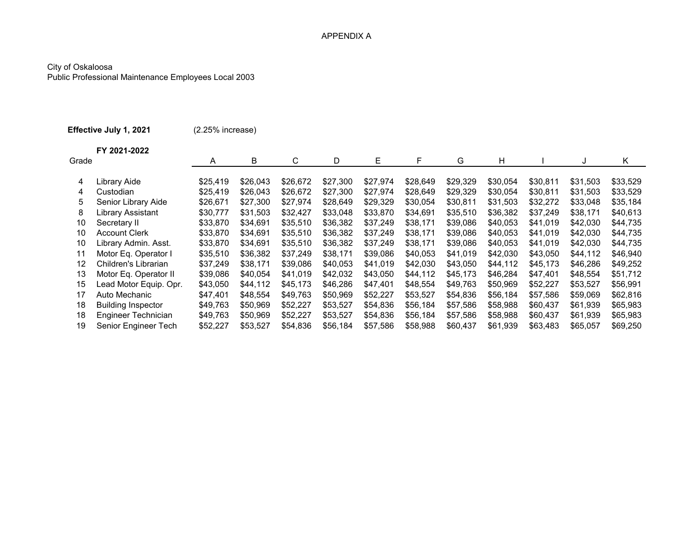### APPENDIX A

### City of Oskaloosa

Public Professional Maintenance Employees Local 2003

| Effective July 1, 2021 |                           | (2.25% increase) |          |          |          |          |          |          |          |          |          |          |
|------------------------|---------------------------|------------------|----------|----------|----------|----------|----------|----------|----------|----------|----------|----------|
| Grade                  | FY 2021-2022              | A                | B        | C        | D        | E.       | F        | G        | H        |          | J        | Κ        |
| 4                      | Library Aide              | \$25,419         | \$26,043 | \$26,672 | \$27,300 | \$27,974 | \$28,649 | \$29,329 | \$30,054 | \$30,811 | \$31,503 | \$33,529 |
| 4                      | Custodian                 | \$25,419         | \$26,043 | \$26,672 | \$27,300 | \$27,974 | \$28,649 | \$29,329 | \$30,054 | \$30,811 | \$31,503 | \$33,529 |
| 5                      | Senior Library Aide       | \$26,671         | \$27,300 | \$27,974 | \$28,649 | \$29,329 | \$30,054 | \$30,811 | \$31,503 | \$32,272 | \$33,048 | \$35,184 |
| 8                      | Library Assistant         | \$30,777         | \$31,503 | \$32,427 | \$33,048 | \$33,870 | \$34,691 | \$35,510 | \$36,382 | \$37,249 | \$38,171 | \$40,613 |
| 10                     | Secretary II              | \$33,870         | \$34.691 | \$35,510 | \$36,382 | \$37,249 | \$38,171 | \$39,086 | \$40,053 | \$41,019 | \$42,030 | \$44,735 |
| 10                     | <b>Account Clerk</b>      | \$33,870         | \$34,691 | \$35,510 | \$36,382 | \$37,249 | \$38,171 | \$39,086 | \$40,053 | \$41,019 | \$42,030 | \$44,735 |
| 10                     | Library Admin. Asst.      | \$33,870         | \$34,691 | \$35,510 | \$36,382 | \$37,249 | \$38,171 | \$39,086 | \$40,053 | \$41,019 | \$42,030 | \$44,735 |
| 11                     | Motor Eq. Operator I      | \$35,510         | \$36,382 | \$37,249 | \$38,171 | \$39,086 | \$40,053 | \$41,019 | \$42,030 | \$43,050 | \$44,112 | \$46,940 |
| 12                     | Children's Librarian      | \$37,249         | \$38,171 | \$39,086 | \$40,053 | \$41,019 | \$42,030 | \$43,050 | \$44,112 | \$45,173 | \$46,286 | \$49,252 |
| 13                     | Motor Eq. Operator II     | \$39,086         | \$40,054 | \$41,019 | \$42,032 | \$43,050 | \$44,112 | \$45,173 | \$46,284 | \$47,401 | \$48,554 | \$51,712 |
| 15                     | Lead Motor Equip. Opr.    | \$43,050         | \$44,112 | \$45,173 | \$46,286 | \$47,401 | \$48,554 | \$49,763 | \$50.969 | \$52,227 | \$53,527 | \$56,991 |
| 17                     | Auto Mechanic             | \$47,401         | \$48,554 | \$49,763 | \$50,969 | \$52,227 | \$53,527 | \$54,836 | \$56,184 | \$57,586 | \$59,069 | \$62,816 |
| 18                     | <b>Building Inspector</b> | \$49,763         | \$50,969 | \$52,227 | \$53,527 | \$54,836 | \$56,184 | \$57,586 | \$58,988 | \$60,437 | \$61,939 | \$65,983 |
| 18                     | Engineer Technician       | \$49,763         | \$50,969 | \$52,227 | \$53,527 | \$54,836 | \$56,184 | \$57,586 | \$58,988 | \$60,437 | \$61,939 | \$65,983 |
| 19                     | Senior Engineer Tech      | \$52,227         | \$53,527 | \$54,836 | \$56,184 | \$57,586 | \$58,988 | \$60,437 | \$61,939 | \$63,483 | \$65,057 | \$69,250 |